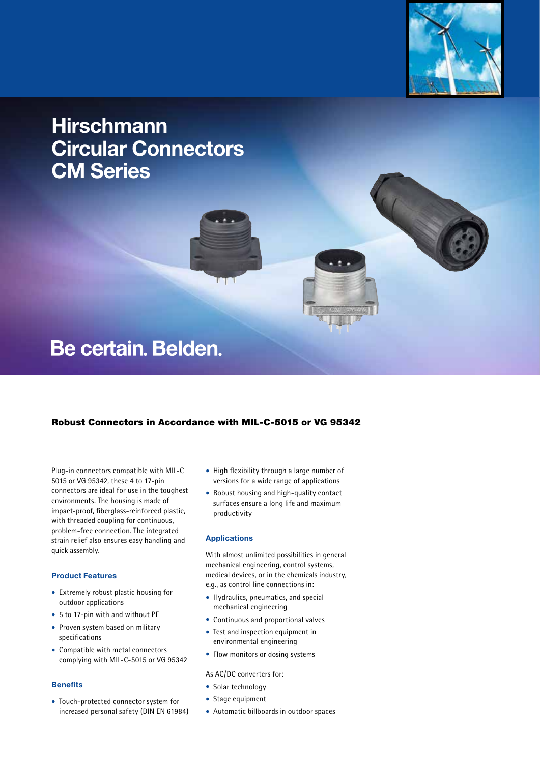

# **Hirschmann Circular Connectors CM Series**

# Be certain. Belden.

## Robust Connectors in Accordance with MIL-C-5015 or VG 95342

nт

Plug-in connectors compatible with MIL-C 5015 or VG 95342, these 4 to 17-pin connectors are ideal for use in the toughest environments. The housing is made of impact-proof, fiberglass-reinforced plastic, with threaded coupling for continuous, problem-free connection. The integrated strain relief also ensures easy handling and quick assembly.

### **Product Features**

- Extremely robust plastic housing for outdoor applications
- 5 to 17-pin with and without PE
- Proven system based on military specifications
- Compatible with metal connectors complying with MIL-C-5015 or VG 95342

#### **Benefits**

• Touch-protected connector system for increased personal safety (DIN EN 61984)

- High flexibility through a large number of versions for a wide range of applications
- Robust housing and high-quality contact surfaces ensure a long life and maximum productivity

#### **Applications**

With almost unlimited possibilities in general mechanical engineering, control systems, medical devices, or in the chemicals industry, e.g., as control line connections in:

- Hydraulics, pneumatics, and special mechanical engineering
- Continuous and proportional valves
- Test and inspection equipment in environmental engineering
- Flow monitors or dosing systems

As AC/DC converters for:

- Solar technology
- Stage equipment
- Automatic billboards in outdoor spaces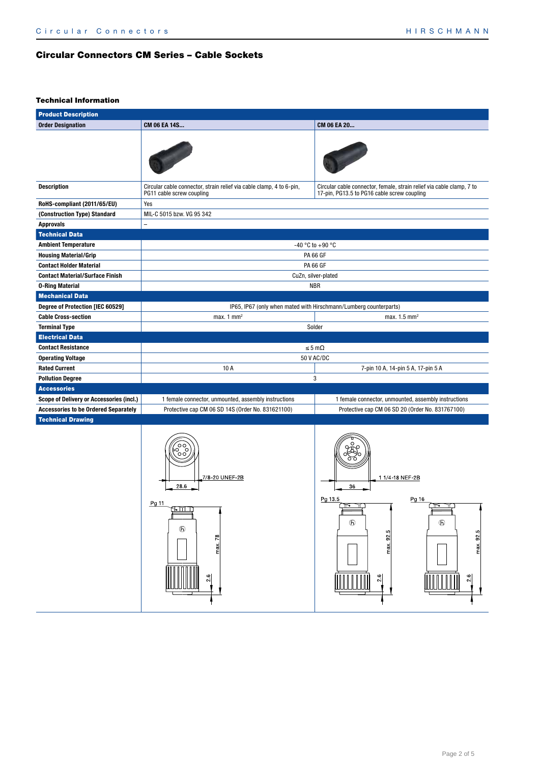# Circular Connectors CM Series – Cable Sockets

## Technical Information

| <b>Product Description</b>                     |                                                                                                   |                                                                                                                      |  |  |  |  |
|------------------------------------------------|---------------------------------------------------------------------------------------------------|----------------------------------------------------------------------------------------------------------------------|--|--|--|--|
| <b>Order Designation</b>                       | CM 06 EA 14S                                                                                      | CM 06 EA 20                                                                                                          |  |  |  |  |
|                                                |                                                                                                   |                                                                                                                      |  |  |  |  |
| <b>Description</b>                             | Circular cable connector, strain relief via cable clamp, 4 to 6-pin,<br>PG11 cable screw coupling | Circular cable connector, female, strain relief via cable clamp, 7 to<br>17-pin, PG13.5 to PG16 cable screw coupling |  |  |  |  |
| RoHS-compliant (2011/65/EU)                    | Yes                                                                                               |                                                                                                                      |  |  |  |  |
| (Construction Type) Standard                   | MIL-C 5015 bzw. VG 95 342                                                                         |                                                                                                                      |  |  |  |  |
| <b>Approvals</b>                               |                                                                                                   |                                                                                                                      |  |  |  |  |
| <b>Technical Data</b>                          |                                                                                                   |                                                                                                                      |  |  |  |  |
| <b>Ambient Temperature</b>                     |                                                                                                   | -40 °C to +90 °C                                                                                                     |  |  |  |  |
| <b>Housing Material/Grip</b>                   |                                                                                                   | <b>PA 66 GF</b>                                                                                                      |  |  |  |  |
| <b>Contact Holder Material</b>                 |                                                                                                   | <b>PA 66 GF</b>                                                                                                      |  |  |  |  |
| <b>Contact Material/Surface Finish</b>         |                                                                                                   | CuZn, silver-plated                                                                                                  |  |  |  |  |
| <b>0-Ring Material</b>                         |                                                                                                   | <b>NBR</b>                                                                                                           |  |  |  |  |
| <b>Mechanical Data</b>                         |                                                                                                   |                                                                                                                      |  |  |  |  |
| Degree of Protection [IEC 60529]               | IP65, IP67 (only when mated with Hirschmann/Lumberg counterparts)                                 |                                                                                                                      |  |  |  |  |
| <b>Cable Cross-section</b>                     | max. 1 $mm2$                                                                                      | max. $1.5$ mm <sup>2</sup><br>Solder                                                                                 |  |  |  |  |
| <b>Terminal Type</b><br><b>Electrical Data</b> |                                                                                                   |                                                                                                                      |  |  |  |  |
| <b>Contact Resistance</b>                      |                                                                                                   | $\leq 5 \text{ m}\Omega$                                                                                             |  |  |  |  |
| <b>Operating Voltage</b>                       |                                                                                                   | 50 V AC/DC                                                                                                           |  |  |  |  |
| <b>Rated Current</b>                           | 10 A                                                                                              | 7-pin 10 A, 14-pin 5 A, 17-pin 5 A                                                                                   |  |  |  |  |
| <b>Pollution Degree</b>                        |                                                                                                   | 3                                                                                                                    |  |  |  |  |
| <b>Accessories</b>                             |                                                                                                   |                                                                                                                      |  |  |  |  |
| Scope of Delivery or Accessories (incl.)       | 1 female connector, unmounted, assembly instructions                                              | 1 female connector, unmounted, assembly instructions                                                                 |  |  |  |  |
| <b>Accessories to be Ordered Separately</b>    | Protective cap CM 06 SD 14S (Order No. 831621100)                                                 | Protective cap CM 06 SD 20 (Order No. 831767100)                                                                     |  |  |  |  |
| <b>Technical Drawing</b>                       |                                                                                                   |                                                                                                                      |  |  |  |  |
|                                                | 7/8-20 UNEF-2B<br>28.6<br>Pg 11<br>15. TIMB<br>$\mathfrak{G}$<br>max 78<br>$\frac{2.6}{ }$        | 1 1/4 18 NEF 2B<br>36<br>Pg 16<br>Pg 13.5<br>∩∾<br>$^{\circ}$<br>$\mathfrak{h}$<br>max 925<br>max 92.5<br>2.6<br>2.6 |  |  |  |  |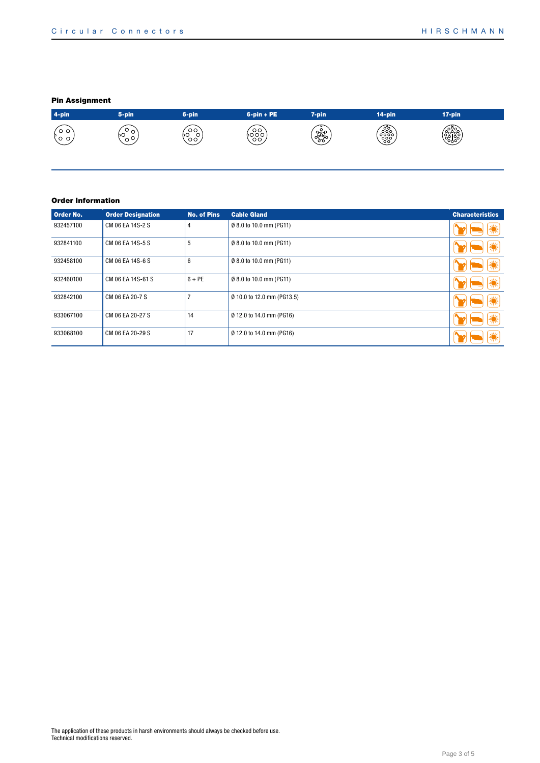## Pin Assignment



#### Order Information

| Order No. | <b>Order Designation</b> | <b>No. of Pins</b> | <b>Cable Gland</b>         | <b>Characteristics</b> |
|-----------|--------------------------|--------------------|----------------------------|------------------------|
| 932457100 | CM 06 EA 14S-2 S         | 4                  | Ø 8.0 to 10.0 mm (PG11)    |                        |
| 932841100 | CM 06 EA 14S-5 S         | 5                  | Ø 8.0 to 10.0 mm (PG11)    |                        |
| 932458100 | CM 06 EA 14S-6 S         | 6                  | Ø 8.0 to 10.0 mm (PG11)    |                        |
| 932460100 | CM 06 EA 14S-61 S        | $6 + PE$           | Ø 8.0 to 10.0 mm (PG11)    |                        |
| 932842100 | CM 06 EA 20-7 S          |                    | Ø 10.0 to 12.0 mm (PG13.5) |                        |
| 933067100 | CM 06 EA 20-27 S         | 14                 | Ø 12.0 to 14.0 mm (PG16)   |                        |
| 933068100 | CM 06 EA 20-29 S         | 17                 | Ø 12.0 to 14.0 mm (PG16)   |                        |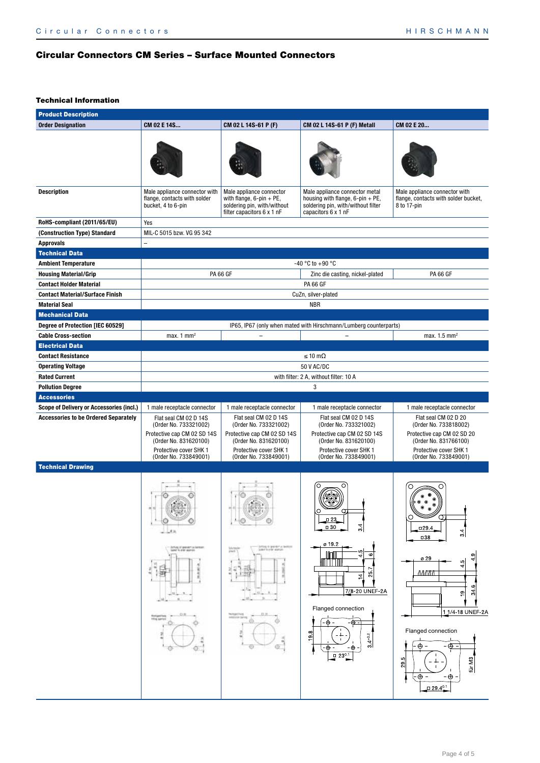## Circular Connectors CM Series – Surface Mounted Connectors

### Technical Information

| <b>Product Description</b>                    |                                                                                                                                                           |                                                                                                                                                           |                                                                                                                                                                                                             |                                                                                                                                                                                                                                                           |  |
|-----------------------------------------------|-----------------------------------------------------------------------------------------------------------------------------------------------------------|-----------------------------------------------------------------------------------------------------------------------------------------------------------|-------------------------------------------------------------------------------------------------------------------------------------------------------------------------------------------------------------|-----------------------------------------------------------------------------------------------------------------------------------------------------------------------------------------------------------------------------------------------------------|--|
| <b>Order Designation</b>                      | CM 02 E 14S                                                                                                                                               | CM 02 L 14S-61 P (F)                                                                                                                                      | CM 02 L 14S-61 P (F) Metall                                                                                                                                                                                 | CM 02 E 20                                                                                                                                                                                                                                                |  |
|                                               |                                                                                                                                                           |                                                                                                                                                           |                                                                                                                                                                                                             |                                                                                                                                                                                                                                                           |  |
| <b>Description</b>                            | Male appliance connector with<br>flange, contacts with solder<br>bucket, 4 to 6-pin                                                                       | Male appliance connector<br>with flange, $6$ -pin + PE,<br>soldering pin, with/without<br>filter capacitors 6 x 1 nF                                      | Male appliance connector metal<br>housing with flange, $6$ -pin + PE,<br>soldering pin, with/without filter<br>capacitors 6 x 1 nF                                                                          | Male appliance connector with<br>flange, contacts with solder bucket,<br>8 to 17-pin                                                                                                                                                                      |  |
| RoHS-compliant (2011/65/EU)                   | Yes                                                                                                                                                       |                                                                                                                                                           |                                                                                                                                                                                                             |                                                                                                                                                                                                                                                           |  |
| (Construction Type) Standard                  | MIL-C 5015 bzw. VG 95 342                                                                                                                                 |                                                                                                                                                           |                                                                                                                                                                                                             |                                                                                                                                                                                                                                                           |  |
| <b>Approvals</b>                              |                                                                                                                                                           |                                                                                                                                                           |                                                                                                                                                                                                             |                                                                                                                                                                                                                                                           |  |
| <b>Technical Data</b>                         |                                                                                                                                                           |                                                                                                                                                           |                                                                                                                                                                                                             |                                                                                                                                                                                                                                                           |  |
| <b>Ambient Temperature</b>                    |                                                                                                                                                           |                                                                                                                                                           | -40 °C to +90 °C                                                                                                                                                                                            |                                                                                                                                                                                                                                                           |  |
| <b>Housing Material/Grip</b>                  |                                                                                                                                                           | <b>PA 66 GF</b>                                                                                                                                           | Zinc die casting, nickel-plated                                                                                                                                                                             | <b>PA 66 GF</b>                                                                                                                                                                                                                                           |  |
| <b>Contact Holder Material</b>                |                                                                                                                                                           |                                                                                                                                                           | <b>PA 66 GF</b>                                                                                                                                                                                             |                                                                                                                                                                                                                                                           |  |
| <b>Contact Material/Surface Finish</b>        |                                                                                                                                                           |                                                                                                                                                           | CuZn, silver-plated                                                                                                                                                                                         |                                                                                                                                                                                                                                                           |  |
| <b>Material Seal</b>                          |                                                                                                                                                           |                                                                                                                                                           | <b>NBR</b>                                                                                                                                                                                                  |                                                                                                                                                                                                                                                           |  |
| <b>Mechanical Data</b>                        |                                                                                                                                                           |                                                                                                                                                           |                                                                                                                                                                                                             |                                                                                                                                                                                                                                                           |  |
| Degree of Protection [IEC 60529]              |                                                                                                                                                           |                                                                                                                                                           | IP65, IP67 (only when mated with Hirschmann/Lumberg counterparts)                                                                                                                                           |                                                                                                                                                                                                                                                           |  |
| <b>Cable Cross-section</b>                    | max. $1 \text{ mm}^2$                                                                                                                                     | $\overline{\phantom{0}}$                                                                                                                                  | $\equiv$                                                                                                                                                                                                    | max. 1.5 mm <sup>2</sup>                                                                                                                                                                                                                                  |  |
| <b>Electrical Data</b>                        |                                                                                                                                                           |                                                                                                                                                           |                                                                                                                                                                                                             |                                                                                                                                                                                                                                                           |  |
| <b>Contact Resistance</b>                     |                                                                                                                                                           |                                                                                                                                                           | $\leq 10 \text{ m}\Omega$                                                                                                                                                                                   |                                                                                                                                                                                                                                                           |  |
| <b>Operating Voltage</b>                      |                                                                                                                                                           |                                                                                                                                                           | 50 V AC/DC                                                                                                                                                                                                  |                                                                                                                                                                                                                                                           |  |
| <b>Rated Current</b>                          |                                                                                                                                                           |                                                                                                                                                           | with filter: 2 A, without filter: 10 A                                                                                                                                                                      |                                                                                                                                                                                                                                                           |  |
| <b>Pollution Degree</b><br><b>Accessories</b> |                                                                                                                                                           |                                                                                                                                                           | 3                                                                                                                                                                                                           |                                                                                                                                                                                                                                                           |  |
| Scope of Delivery or Accessories (incl.)      | 1 male receptacle connector                                                                                                                               | 1 male receptacle connector                                                                                                                               |                                                                                                                                                                                                             | 1 male receptacle connector                                                                                                                                                                                                                               |  |
| <b>Accessories to be Ordered Separately</b>   | Flat seal CM 02 D 14S<br>(Order No. 733321002)<br>Protective cap CM 02 SD 14S<br>(Order No. 831620100)<br>Protective cover SHK 1<br>(Order No. 733849001) | Flat seal CM 02 D 14S<br>(Order No. 733321002)<br>Protective cap CM 02 SD 14S<br>(Order No. 831620100)<br>Protective cover SHK 1<br>(Order No. 733849001) | 1 male receptacle connector<br>Flat seal CM 02 D 14S<br>(Order No. 733321002)<br>Protective cap CM 02 SD 14S<br>(Order No. 831620100)<br>Protective cover SHK 1<br>(Order No. 733849001)                    | Flat seal CM 02 D 20<br>(Order No. 733818002)<br>Protective cap CM 02 SD 20<br>(Order No. 831766100)<br>Protective cover SHK 1<br>(Order No. 733849001)                                                                                                   |  |
| <b>Technical Drawing</b>                      |                                                                                                                                                           |                                                                                                                                                           |                                                                                                                                                                                                             |                                                                                                                                                                                                                                                           |  |
|                                               | O<br>3.11<br>Jorkieg of gearviert as familiar<br>Gallet' hi arbit allumple<br><b>CUR</b><br><b>Hilling cam're</b><br>o<br>Θ                               | ⊹⊣⊙<br>lotteg in gwinter a lawing<br>Jobet to entry warron<br>sea<br>Pierr<br>白胜<br>ø                                                                     | $\Box$ 23<br>3.4<br>$\square$ 30<br>ø 19.2<br>ıη<br>G<br>25.<br>4<br>7/8-20 UNEF-2A<br>Flanged connection<br>⊕ -<br>- <del>ட</del><br>$\infty$<br>$3.4 + 0.2$<br>ത<br>- ⊕<br>∙⊕<br>$\Box$ 23 <sup>0.1</sup> | O<br>$\sigma$<br>$\Box$ 29.4<br>4<br>തി<br>□38<br>თ<br>ø 29<br>4<br>ယ္<br>₹<br>лллл<br>ဖ<br>34<br>$\overline{\mathcal{D}}$<br>1 1/4 18 UNEF 2A<br>Flanged connection<br>$\oplus$ -<br>⊕<br>မာ<br>für M3<br>29.<br>⊕<br>-⊕ -<br>$\Box$ 29.4 <sup>0.1</sup> |  |